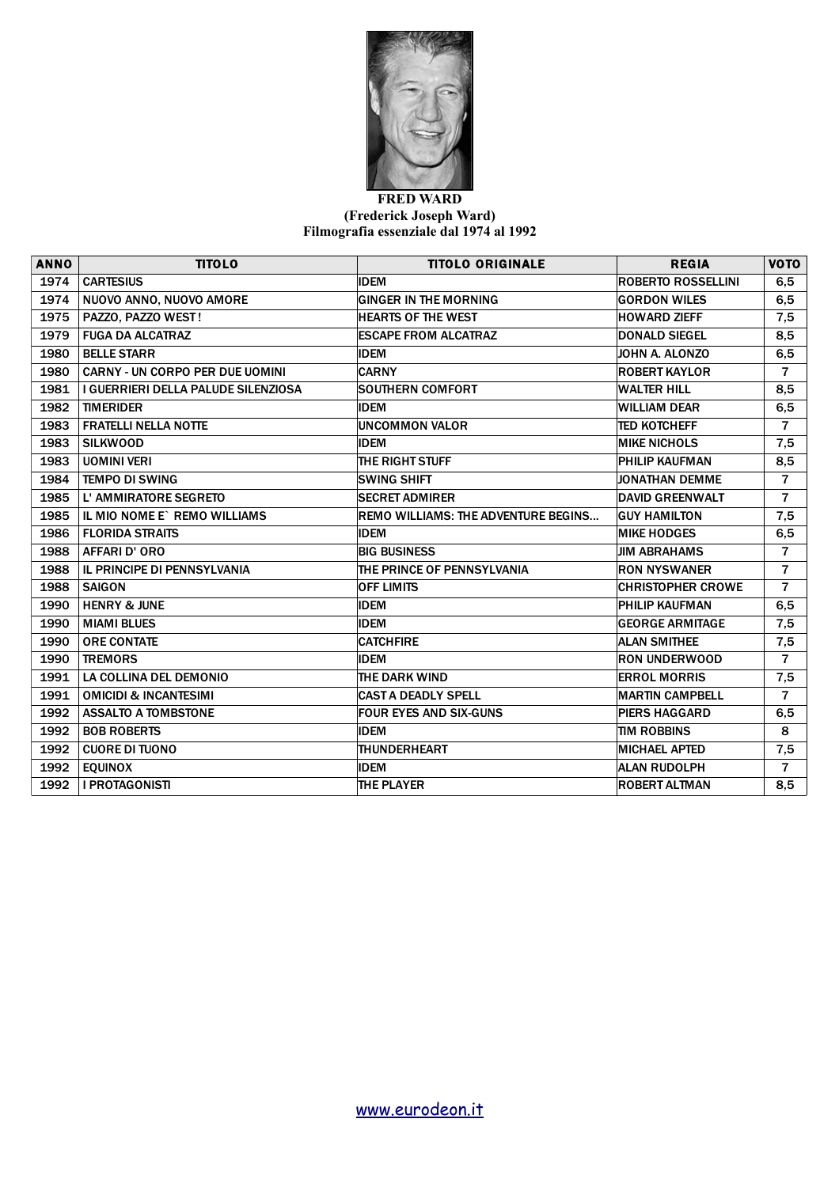

## **FRED WARD (Frederick Joseph Ward) Filmografia essenziale dal 1974 al 1992**

| <b>ANNO</b> | <b>TITOLO</b>                          | <b>TITOLO ORIGINALE</b>                    | <b>REGIA</b>              | <b>VOTO</b>    |
|-------------|----------------------------------------|--------------------------------------------|---------------------------|----------------|
| 1974        | <b>CARTESIUS</b>                       | <b>IDEM</b>                                | <b>ROBERTO ROSSELLINI</b> | 6, 5           |
| 1974        | NUOVO ANNO, NUOVO AMORE                | <b>GINGER IN THE MORNING</b>               | <b>GORDON WILES</b>       | 6, 5           |
| 1975        | PAZZO, PAZZO WEST!                     | <b>HEARTS OF THE WEST</b>                  | <b>HOWARD ZIEFF</b>       | 7,5            |
| 1979        | <b>FUGA DA ALCATRAZ</b>                | <b>ESCAPE FROM ALCATRAZ</b>                | <b>DONALD SIEGEL</b>      | 8,5            |
| 1980        | <b>BELLE STARR</b>                     | <b>IDEM</b>                                | JOHN A. ALONZO            | 6, 5           |
| 1980        | <b>CARNY - UN CORPO PER DUE UOMINI</b> | <b>CARNY</b>                               | <b>ROBERT KAYLOR</b>      | $\overline{7}$ |
| 1981        | I GUERRIERI DELLA PALUDE SILENZIOSA    | <b>SOUTHERN COMFORT</b>                    | <b>WALTER HILL</b>        | 8,5            |
| 1982        | <b>TIMERIDER</b>                       | <b>IDEM</b>                                | <b>WILLIAM DEAR</b>       | 6, 5           |
| 1983        | <b>FRATELLI NELLA NOTTE</b>            | <b>UNCOMMON VALOR</b>                      | <b>TED KOTCHEFF</b>       | $\overline{7}$ |
| 1983        | <b>SILKWOOD</b>                        | <b>IDEM</b>                                | <b>MIKE NICHOLS</b>       | 7,5            |
| 1983        | <b>UOMINI VERI</b>                     | THE RIGHT STUFF                            | PHILIP KAUFMAN            | 8,5            |
| 1984        | <b>TEMPO DI SWING</b>                  | <b>SWING SHIFT</b>                         | <b>JONATHAN DEMME</b>     | $\overline{7}$ |
| 1985        | L' AMMIRATORE SEGRETO                  | <b>SECRET ADMIRER</b>                      | <b>DAVID GREENWALT</b>    | $\overline{7}$ |
| 1985        | IL MIO NOME E` REMO WILLIAMS           | <b>REMO WILLIAMS: THE ADVENTURE BEGINS</b> | <b>GUY HAMILTON</b>       | 7,5            |
| 1986        | <b>FLORIDA STRAITS</b>                 | <b>IDEM</b>                                | <b>MIKE HODGES</b>        | 6, 5           |
| 1988        | AFFARI D' ORO                          | <b>BIG BUSINESS</b>                        | <b>JIM ABRAHAMS</b>       | $\overline{7}$ |
| 1988        | IL PRINCIPE DI PENNSYLVANIA            | THE PRINCE OF PENNSYLVANIA                 | <b>RON NYSWANER</b>       | $\overline{7}$ |
| 1988        | <b>SAIGON</b>                          | <b>OFF LIMITS</b>                          | <b>CHRISTOPHER CROWE</b>  | 7              |
| 1990        | <b>HENRY &amp; JUNE</b>                | <b>IDEM</b>                                | PHILIP KAUFMAN            | 6,5            |
| 1990        | <b>MIAMI BLUES</b>                     | <b>IDEM</b>                                | <b>GEORGE ARMITAGE</b>    | 7,5            |
| 1990        | <b>ORE CONTATE</b>                     | <b>CATCHFIRE</b>                           | <b>ALAN SMITHEE</b>       | 7,5            |
| 1990        | <b>TREMORS</b>                         | <b>IDEM</b>                                | <b>RON UNDERWOOD</b>      | $\overline{7}$ |
| 1991        | LA COLLINA DEL DEMONIO                 | THE DARK WIND                              | <b>ERROL MORRIS</b>       | 7,5            |
| 1991        | <b>OMICIDI &amp; INCANTESIMI</b>       | <b>CAST A DEADLY SPELL</b>                 | <b>MARTIN CAMPBELL</b>    | $\overline{7}$ |
| 1992        | <b>ASSALTO A TOMBSTONE</b>             | <b>FOUR EYES AND SIX-GUNS</b>              | <b>PIERS HAGGARD</b>      | 6, 5           |
| 1992        | <b>BOB ROBERTS</b>                     | <b>IDEM</b>                                | <b>TIM ROBBINS</b>        | 8              |
| 1992        | <b>CUORE DI TUONO</b>                  | <b>THUNDERHEART</b>                        | <b>MICHAEL APTED</b>      | 7,5            |
| 1992        | <b>EQUINOX</b>                         | <b>IDEM</b>                                | <b>ALAN RUDOLPH</b>       | $\overline{7}$ |
| 1992        | <b>I PROTAGONISTI</b>                  | THE PLAYER                                 | <b>ROBERT ALTMAN</b>      | 8,5            |